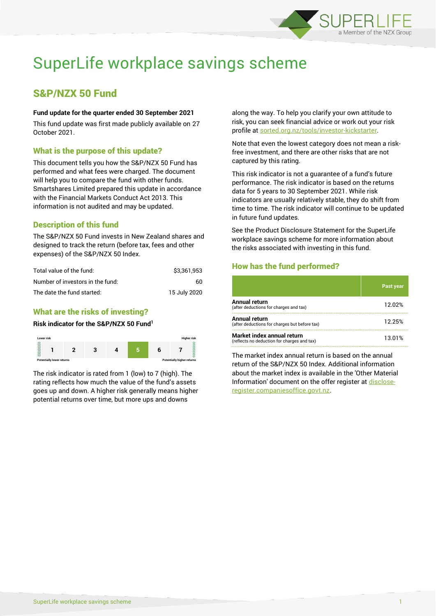

# SuperLife workplace savings scheme

# S&P/NZX 50 Fund

#### **Fund update for the quarter ended 30 September 2021**

This fund update was first made publicly available on 27 October 2021.

# What is the purpose of this update?

This document tells you how the S&P/NZX 50 Fund has performed and what fees were charged. The document will help you to compare the fund with other funds. Smartshares Limited prepared this update in accordance with the Financial Markets Conduct Act 2013. This information is not audited and may be updated.

# Description of this fund

The S&P/NZX 50 Fund invests in New Zealand shares and designed to track the return (before tax, fees and other expenses) of the S&P/NZX 50 Index.

| Total value of the fund:         | \$3.361.953  |
|----------------------------------|--------------|
| Number of investors in the fund: | 60           |
| The date the fund started:       | 15 July 2020 |

# What are the risks of investing?

#### **Risk indicator for the S&P/NZX 50 Fund<sup>1</sup>**



The risk indicator is rated from 1 (low) to 7 (high). The rating reflects how much the value of the fund's assets goes up and down. A higher risk generally means higher potential returns over time, but more ups and downs

along the way. To help you clarify your own attitude to risk, you can seek financial advice or work out your risk profile at [sorted.org.nz/tools/investor-kickstarter.](http://www.sorted.org.nz/tools/investor-kickstarter)

Note that even the lowest category does not mean a riskfree investment, and there are other risks that are not captured by this rating.

This risk indicator is not a guarantee of a fund's future performance. The risk indicator is based on the returns data for 5 years to 30 September 2021. While risk indicators are usually relatively stable, they do shift from time to time. The risk indicator will continue to be updated in future fund updates.

See the Product Disclosure Statement for the SuperLife workplace savings scheme for more information about the risks associated with investing in this fund.

# How has the fund performed?

|                                                                           | Past year |
|---------------------------------------------------------------------------|-----------|
| Annual return<br>(after deductions for charges and tax)                   | 12.02%    |
| Annual return<br>(after deductions for charges but before tax)            | 12.25%    |
| Market index annual return<br>(reflects no deduction for charges and tax) | 13.01%    |

The market index annual return is based on the annual return of the S&P/NZX 50 Index. Additional information about the market index is available in the 'Other Material Information' document on the offer register a[t disclose](http://www.disclose-register.companiesoffice.govt.nz/)[register.companiesoffice.govt.nz.](http://www.disclose-register.companiesoffice.govt.nz/)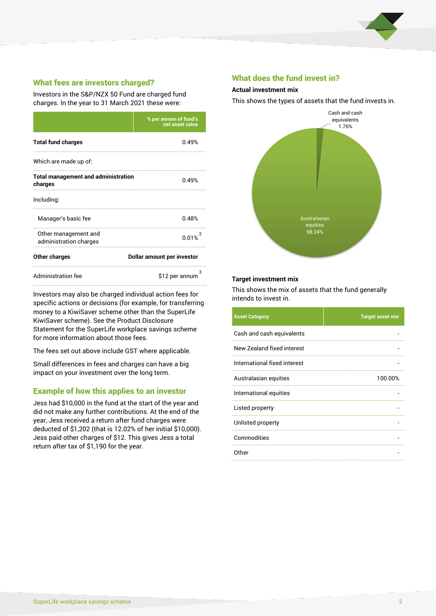

# What fees are investors charged?

Investors in the S&P/NZX 50 Fund are charged fund charges. In the year to 31 March 2021 these were:

|                                                       | % per annum of fund's<br>net asset value |  |  |
|-------------------------------------------------------|------------------------------------------|--|--|
| <b>Total fund charges</b>                             | 0.49%                                    |  |  |
| Which are made up of:                                 |                                          |  |  |
| <b>Total management and administration</b><br>charges | በ 49%                                    |  |  |
| Including:                                            |                                          |  |  |
| Manager's basic fee                                   | 0.48%                                    |  |  |
| Other management and<br>administration charges        | 0.01%                                    |  |  |
| Other charges                                         | Dollar amount per investor               |  |  |
| <b>Administration fee</b>                             | 3<br>\$12 per annum                      |  |  |

Investors may also be charged individual action fees for specific actions or decisions (for example, for transferring money to a KiwiSaver scheme other than the SuperLife KiwiSaver scheme). See the Product Disclosure Statement for the SuperLife workplace savings scheme for more information about those fees.

The fees set out above include GST where applicable.

Small differences in fees and charges can have a big impact on your investment over the long term.

#### Example of how this applies to an investor

Jess had \$10,000 in the fund at the start of the year and did not make any further contributions. At the end of the year, Jess received a return after fund charges were deducted of \$1,202 (that is 12.02% of her initial \$10,000). Jess paid other charges of \$12. This gives Jess a total return after tax of \$1,190 for the year.

### What does the fund invest in?

#### **Actual investment mix**

This shows the types of assets that the fund invests in.



#### **Target investment mix**

This shows the mix of assets that the fund generally intends to invest in.

| <b>Asset Category</b>        | <b>Target asset mix</b> |
|------------------------------|-------------------------|
| Cash and cash equivalents    |                         |
| New Zealand fixed interest   |                         |
| International fixed interest |                         |
| Australasian equities        | 100.00%                 |
| International equities       |                         |
| Listed property              |                         |
| Unlisted property            |                         |
| Commodities                  |                         |
| Other                        |                         |